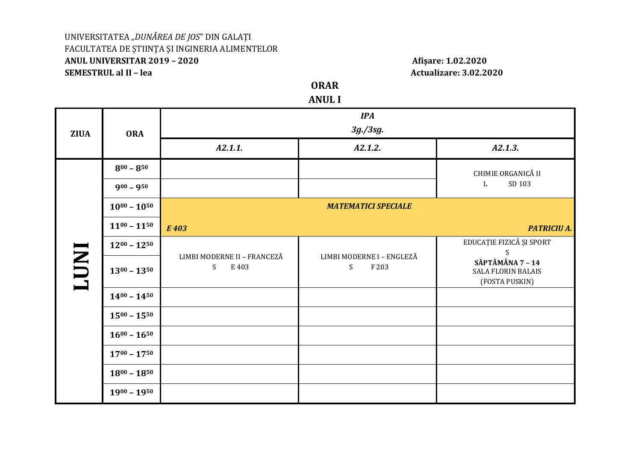## UNIVERSITATEA "DUNĂREA DE JOS" DIN GALAȚI FACULTATEA DE ȘTIINȚA ȘI INGINERIA ALIMENTELOR ANUL UNIVERSITAR 2019 - 2020 **SEMESTRUL al II - lea**

Afişare: 1.02.2020 **Actualizare: 3.02.2020** 

**ORAR** 

**ANUL I** 

| <b>ZIUA</b>  | <b>ORA</b>          | <b>IPA</b><br>$3g$ ./3sg.                 |                                         |                                                                 |  |
|--------------|---------------------|-------------------------------------------|-----------------------------------------|-----------------------------------------------------------------|--|
|              |                     | A2.1.1.                                   | A2.1.2.                                 | A2.1.3.                                                         |  |
| <b>INDT1</b> | $8^{00} - 8^{50}$   |                                           |                                         | CHIMIE ORGANICĂ II                                              |  |
|              | $900 - 950$         |                                           |                                         | SD 103<br>L                                                     |  |
|              | $10^{00} - 10^{50}$ |                                           | <b>MATEMATICI SPECIALE</b>              |                                                                 |  |
|              | $11^{00} - 11^{50}$ | E 403                                     |                                         | <b>PATRICIU A.</b>                                              |  |
|              | $12^{00} - 12^{50}$ |                                           |                                         | EDUCAȚIE FIZICĂ ȘI SPORT<br>S                                   |  |
|              | $13^{00} - 13^{50}$ | LIMBI MODERNE II - FRANCEZĂ<br>S<br>E 403 | LIMBI MODERNE I - ENGLEZĂ<br>F 203<br>S | SĂPTĂMÂNA 7 - 14<br><b>SALA FLORIN BALAIS</b><br>(FOSTA PUSKIN) |  |
|              | $14^{00} - 14^{50}$ |                                           |                                         |                                                                 |  |
|              | $15^{00} - 15^{50}$ |                                           |                                         |                                                                 |  |
|              | $16^{00} - 16^{50}$ |                                           |                                         |                                                                 |  |
|              | $17^{00} - 17^{50}$ |                                           |                                         |                                                                 |  |
|              | $18^{00} - 18^{50}$ |                                           |                                         |                                                                 |  |
|              | $19^{00} - 19^{50}$ |                                           |                                         |                                                                 |  |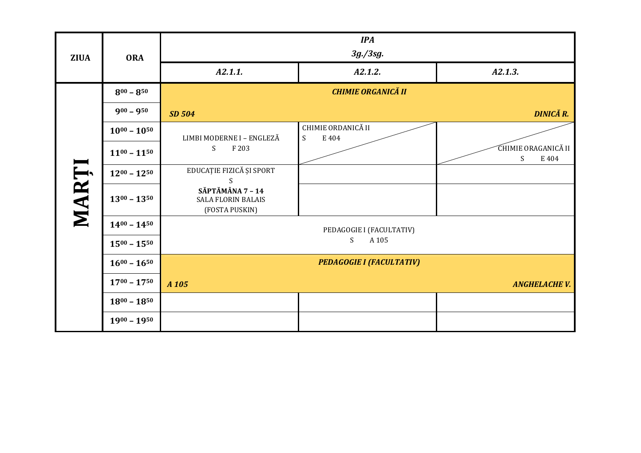| <b>ZIUA</b> | <b>ORA</b>          | <b>IPA</b><br>3g./3sg.                                          |                                                 |                                   |  |
|-------------|---------------------|-----------------------------------------------------------------|-------------------------------------------------|-----------------------------------|--|
|             |                     | A2.1.1.                                                         | A2.1.2.                                         | A2.1.3.                           |  |
|             | $8^{00} - 8^{50}$   | <b>CHIMIE ORGANICĂ II</b>                                       |                                                 |                                   |  |
|             | $900 - 950$         | SD 504                                                          |                                                 | <b>DINICĂ R.</b>                  |  |
|             | $10^{00} - 10^{50}$ | LIMBI MODERNE I - ENGLEZĂ                                       | CHIMIE ORDANICĂ II<br>$\boldsymbol{S}$<br>E 404 |                                   |  |
|             | $11^{00} - 11^{50}$ | S<br>F 203                                                      |                                                 | CHIMIE ORAGANICĂ II<br>S<br>E 404 |  |
|             | $12^{00} - 12^{50}$ | EDUCAȚIE FIZICĂ ȘI SPORT<br>S                                   |                                                 |                                   |  |
| MARȚI       | $13^{00} - 13^{50}$ | SĂPTĂMÂNA 7 - 14<br><b>SALA FLORIN BALAIS</b><br>(FOSTA PUSKIN) |                                                 |                                   |  |
|             | $14^{00} - 14^{50}$ | PEDAGOGIE I (FACULTATIV)                                        |                                                 |                                   |  |
|             | $15^{00} - 15^{50}$ | S<br>A 105                                                      |                                                 |                                   |  |
|             | $16^{00} - 16^{50}$ |                                                                 | <b>PEDAGOGIE I (FACULTATIV)</b>                 |                                   |  |
|             | $17^{00} - 17^{50}$ | A 105                                                           |                                                 | <b>ANGHELACHE V.</b>              |  |
|             | $18^{00} - 18^{50}$ |                                                                 |                                                 |                                   |  |
|             | $1900 - 1950$       |                                                                 |                                                 |                                   |  |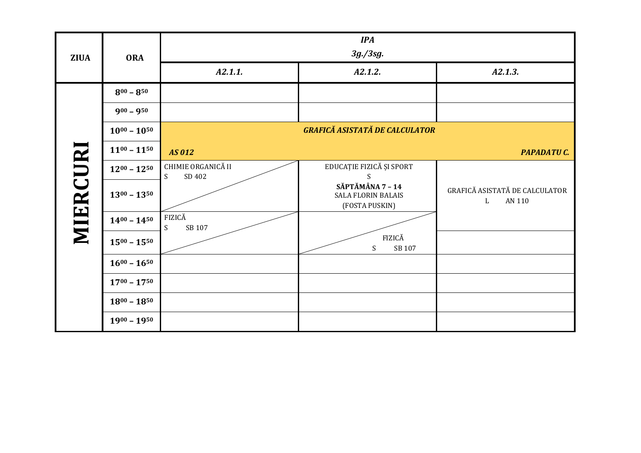| <b>ZIUA</b> | <b>ORA</b>          | <b>IPA</b><br>$3g$ ./3sg.         |                                                                 |                                               |  |
|-------------|---------------------|-----------------------------------|-----------------------------------------------------------------|-----------------------------------------------|--|
|             |                     | A2.1.1.                           | A2.1.2.                                                         | A2.1.3.                                       |  |
| MIERCURI    | $8^{00} - 8^{50}$   |                                   |                                                                 |                                               |  |
|             | $900 - 950$         |                                   |                                                                 |                                               |  |
|             | $10^{00} - 10^{50}$ |                                   | GRAFICĂ ASISTATĂ DE CALCULATOR                                  |                                               |  |
|             | $11^{00} - 11^{50}$ | AS 012                            |                                                                 | <b>PAPADATUC.</b>                             |  |
|             | $12^{00} - 12^{50}$ | CHIMIE ORGANICĂ II<br>SD 402<br>S | EDUCAȚIE FIZICĂ ȘI SPORT<br>S                                   |                                               |  |
|             | $13^{00} - 13^{50}$ |                                   | SĂPTĂMÂNA 7 - 14<br><b>SALA FLORIN BALAIS</b><br>(FOSTA PUSKIN) | GRAFICĂ ASISTATĂ DE CALCULATOR<br>AN 110<br>L |  |
|             | $14^{00} - 14^{50}$ | FIZICĂ<br>S<br>SB 107             |                                                                 |                                               |  |
|             | $15^{00} - 15^{50}$ |                                   | FIZICĂ<br>$\boldsymbol{\mathsf{S}}$<br>SB 107                   |                                               |  |
|             | $16^{00} - 16^{50}$ |                                   |                                                                 |                                               |  |
|             | $17^{00} - 17^{50}$ |                                   |                                                                 |                                               |  |
|             | $18^{00} - 18^{50}$ |                                   |                                                                 |                                               |  |
|             | $1900 - 1950$       |                                   |                                                                 |                                               |  |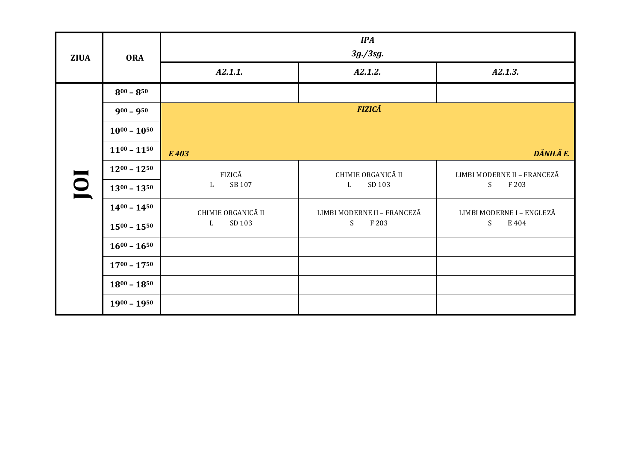| <b>ZIUA</b> | <b>ORA</b>          | <b>IPA</b><br>$3g$ ./3sg.                |                                   |                                           |
|-------------|---------------------|------------------------------------------|-----------------------------------|-------------------------------------------|
|             |                     | A2.1.1.                                  | A2.1.2.                           | A2.1.3.                                   |
| IOI         | $8^{00} - 8^{50}$   |                                          |                                   |                                           |
|             | $900 - 950$         |                                          | <b>FIZICĂ</b>                     |                                           |
|             | $10^{00} - 10^{50}$ |                                          |                                   |                                           |
|             | $11^{00} - 11^{50}$ | E 403                                    |                                   | DĂNILĂ E.                                 |
|             | $12^{00} - 12^{50}$ | FIZICĂ<br>SB 107<br>L                    | CHIMIE ORGANICĂ II<br>SD 103<br>L | LIMBI MODERNE II - FRANCEZĂ<br>S<br>F 203 |
|             | $13^{00} - 13^{50}$ |                                          |                                   |                                           |
|             | $14^{00} - 14^{50}$ | CHIMIE ORGANICĂ II<br>SD 103<br>$\Gamma$ | LIMBI MODERNE II - FRANCEZĂ       | LIMBI MODERNE I - ENGLEZĂ                 |
|             | $15^{00} - 15^{50}$ |                                          | S<br>F 203                        | S<br>E 404                                |
|             | $16^{00} - 16^{50}$ |                                          |                                   |                                           |
|             | $17^{00} - 17^{50}$ |                                          |                                   |                                           |
|             | $18^{00} - 18^{50}$ |                                          |                                   |                                           |
|             | $1900 - 1950$       |                                          |                                   |                                           |